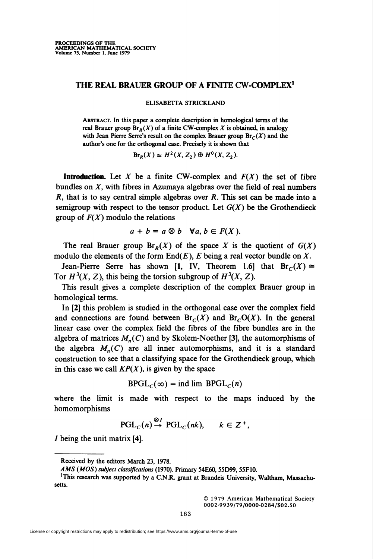## THE REAL BRAUER GROUP OF A FINITE CW-COMPLEX1

## ELISABETTA STRICKLAND

Abstract. In this paper a complete description in homological terms of the real Brauer group  $\text{Br}_R(X)$  of a finite CW-complex X is obtained, in analogy with Jean Pierre Serre's result on the complex Brauer group  $\text{Br}_{\mathcal{C}}(X)$  and the author's one for the orthogonal case. Precisely it is shown that

$$
Br_R(X) \simeq H^2(X, Z_2) \oplus H^0(X, Z_2).
$$

**Introduction.** Let X be a finite CW-complex and  $F(X)$  the set of fibre bundles on  $X$ , with fibres in Azumaya algebras over the field of real numbers  $R$ , that is to say central simple algebras over  $R$ . This set can be made into a semigroup with respect to the tensor product. Let  $G(X)$  be the Grothendieck group of  $F(X)$  modulo the relations

$$
a + b = a \otimes b \quad \forall a, b \in F(X).
$$

The real Brauer group  $\text{Br}_R(X)$  of the space X is the quotient of  $G(X)$ modulo the elements of the form  $End(E)$ , E being a real vector bundle on X.

Jean-Pierre Serre has shown [1, IV, Theorem 1.6] that  $Br_C(X) \cong$ Tor  $H^3(X, Z)$ , this being the torsion subgroup of  $H^3(X, Z)$ .

This result gives a complete description of the complex Brauer group in homological terms.

In [2] this problem is studied in the orthogonal case over the complex field and connections are found between  $Br_{\mathcal{C}}(X)$  and  $Br_{\mathcal{C}}O(X)$ . In the general linear case over the complex field the fibres of the fibre bundles are in the algebra of matrices  $M_n(C)$  and by Skolem-Noether [3], the automorphisms of the algebra  $M_n(C)$  are all inner automorphisms, and it is a standard construction to see that a classifying space for the Grothendieck group, which in this case we call  $KP(X)$ , is given by the space

$$
BPGLC(\infty) = \text{ind lim } BPGLC(n)
$$

where the limit is made with respect to the maps induced by the homomorphisms

$$
\mathrm{PGL}_C(n) \stackrel{\otimes I}{\to} \mathrm{PGL}_C(nk), \qquad k \in \mathbb{Z}^+,
$$

I being the unit matrix [4].

© 1979 American Mathematical Society 0002-9939/79/0000-0284/\$02.50

Received by the editors March 23, 1978.

AMS (MOS) subject classifications (1970). Primary 54E60, 55D99, 55F10.

<sup>&</sup>lt;sup>1</sup>This research was supported by a C.N.R. grant at Brandeis University, Waltham, Massachusetts.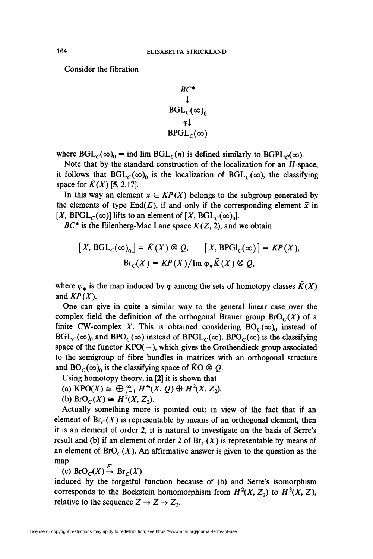Consider the fibration

$$
\begin{array}{c}\nBC^* \\
\downarrow \\
BGL_c(\infty)_0 \\
\varphi\downarrow \\
BPGL_c(\infty)\n\end{array}
$$

where  $BGL<sub>C</sub>(\infty)<sub>0</sub>$  = ind lim  $BGL<sub>C</sub>(n)$  is defined similarly to  $BGPL<sub>C</sub>(\infty)$ .

Note that by the standard construction of the localization for an  $H$ -space, it follows that  $BGL<sub>C</sub>(\infty)$ <sub>0</sub> is the localization of  $BGL<sub>C</sub>(\infty)$ , the classifying space for  $\tilde{K}(X)$  [5, 2.17].

In this way an element  $x \in KP(X)$  belongs to the subgroup generated by the elements of type End(E), if and only if the corresponding element  $\bar{x}$  in  $[X, BPGL<sub>c</sub>(\infty)]$  lifts to an element of  $[X, BGL<sub>c</sub>(\infty)_0]$ .

 $BC^*$  is the Eilenberg-Mac Lane space  $K(Z, 2)$ , and we obtain

$$
[X, \text{BGL}_c(\infty)_0] = \tilde{K}(X) \otimes Q, \qquad [X, \text{BPGl}_c(\infty)] = KP(X),
$$
  

$$
\text{Br}_c(X) = KP(X) / \text{Im } \varphi_* \tilde{K}(X) \otimes Q,
$$

where  $\varphi_*$  is the map induced by  $\varphi$  among the sets of homotopy classes  $\tilde{K}(X)$ and  $KP(X)$ .

One can give in quite a similar way to the general linear case over the complex field the definition of the orthogonal Brauer group  $\text{BrO}_C(X)$  of a finite CW-complex X. This is obtained considering  $BO<sub>C</sub>(\infty)$ <sub>0</sub> instead of  $BGL<sub>C</sub>(\infty)$ <sub>0</sub> and  $BPO<sub>C</sub>(\infty)$  instead of  $BPGL<sub>C</sub>(\infty)$ . BPO<sub>C</sub>( $\infty$ ) is the classifying space of the functor  $KPO(-)$ , which gives the Grothendieck group associated to the semigroup of fibre bundles in matrices with an orthogonal structure and  $BO_C(\infty)_0$  is the classifying space of  $\tilde{K}O \otimes Q$ .

Using homotopy theory, in [2] it is shown that

- (a)  $\mathsf{KPO}(X) \cong \bigoplus_{i=1}^{\infty} H^{4i}(X, Q) \oplus H^2(X, Z_i),$
- (b) BrO<sub>C</sub>(X)  $\cong$  H<sup>2</sup>(X, Z<sub>2</sub>).

Actually something more is pointed out: in view of the fact that if an element of  $\text{Br}_C(X)$  is representable by means of an orthogonal element, then it is an element of order 2, it is natural to investigate on the basis of Serre's result and (b) if an element of order 2 of  $Br_C(X)$  is representable by means of an element of  $\text{BrO}_C(X)$ . An affirmative answer is given to the question as the map

(c) BrO<sub>C</sub> $(X) \xrightarrow{F'}$  Br<sub>c</sub> $(X)$ 

induced by the forgetful function because of (b) and Serre's isomorphism corresponds to the Bockstein homomorphism from  $H^2(X, Z_2)$  to  $H^3(X, Z)$ , relative to the sequence  $Z \rightarrow Z \rightarrow Z_2$ .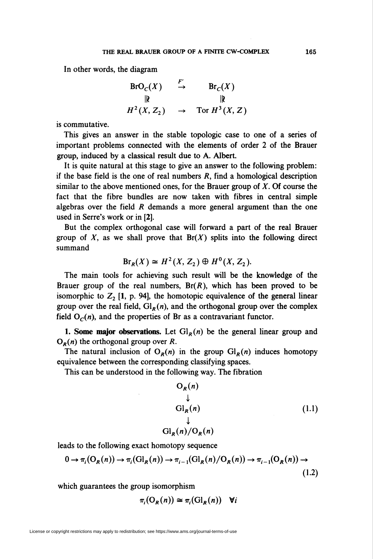In other words, the diagram

$$
BrO_C(X) \xrightarrow{F'} \text{Br}_C(X)
$$
  
\n
$$
\parallel \text{Br}_C(X)
$$
  
\n
$$
H^2(X, Z_2) \rightarrow \text{Tor } H^3(X, Z)
$$

is commutative.

This gives an answer in the stable topologic case to one of a series of important problems connected with the elements of order 2 of the Brauer group, induced by a classical result due to A. Albert.

It is quite natural at this stage to give an answer to the following problem: if the base field is the one of real numbers  $R$ , find a homological description similar to the above mentioned ones, for the Brauer group of  $X$ . Of course the fact that the fibre bundles are now taken with fibres in central simple algebras over the field  *demands a more general argument than the one* used in Serre's work or in [2].

But the complex orthogonal case will forward a part of the real Brauer group of  $X$ , as we shall prove that  $Br(X)$  splits into the following direct summand

$$
Br_R(X) \cong H^2(X, Z_2) \oplus H^0(X, Z_2).
$$

The main tools for achieving such result will be the knowledge of the Brauer group of the real numbers,  $Br(R)$ , which has been proved to be isomorphic to  $Z_2$  [1, p. 94], the homotopic equivalence of the general linear group over the real field,  $Gl_R(n)$ , and the orthogonal group over the complex field  $O<sub>c</sub>(n)$ , and the properties of Br as a contravariant functor.

1. Some major observations. Let  $Gl<sub>R</sub>(n)$  be the general linear group and  $O_R(n)$  the orthogonal group over R.

The natural inclusion of  $O_R(n)$  in the group  $Gl_R(n)$  induces homotopy equivalence between the corresponding classifying spaces.

This can be understood in the following way. The fibration

$$
O_R(n)
$$
  
\n
$$
\downarrow
$$
  
\n
$$
Gl_R(n)
$$
  
\n
$$
\downarrow
$$
  
\n
$$
Gl_R(n)/O_R(n)
$$
  
\n(1.1)

leads to the following exact homotopy sequence

$$
0 \to \pi_i(O_R(n)) \to \pi_i(\mathrm{Gl}_R(n)) \to \pi_{i-1}(\mathrm{Gl}_R(n)/O_R(n)) \to \pi_{i-1}(O_R(n)) \to \tag{1.2}
$$

which guarantees the group isomorphism

$$
\pi_i(\mathrm{O}_R(n)) \simeq \pi_i(\mathrm{Gl}_R(n)) \quad \forall i
$$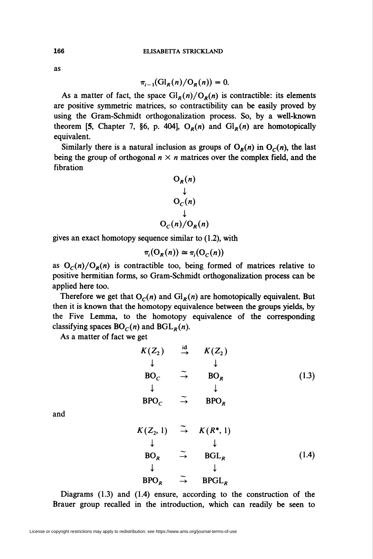as

$$
\pi_{i-1}(\mathrm{Gl}_R(n)/\mathrm{O}_R(n))=0.
$$

As a matter of fact, the space  $\mathrm{Gl}_R(n)/\mathrm{O}_R(n)$  is contractible: its elements are positive symmetric matrices, so contractibility can be easily proved by using the Gram-Schmidt orthogonalization process. So, by a well-known theorem [5, Chapter 7, §6, p. 404],  $O_R(n)$  and  $Gl_R(n)$  are homotopically equivalent.

Similarly there is a natural inclusion as groups of  $O_R(n)$  in  $O_C(n)$ , the last being the group of orthogonal  $n \times n$  matrices over the complex field, and the fibration

$$
O_R(n)
$$
  
\n
$$
O_C(n)
$$
  
\n
$$
O_C(n)/O_R(n)
$$

gives an exact homotopy sequence similar to (1.2), with

$$
\pi_i(\mathcal{O}_R(n)) \cong \pi_i(\mathcal{O}_C(n))
$$

as  $O_c(n)/O_R(n)$  is contractible too, being formed of matrices relative to positive hermitian forms, so Gram-Schmidt orthogonalization process can be applied here too.

Therefore we get that  $O<sub>C</sub>(n)$  and  $Gl<sub>R</sub>(n)$  are homotopically equivalent. But then it is known that the homotopy equivalence between the groups yields, by the Five Lemma, to the homotopy equivalence of the corresponding classifying spaces  $BO<sub>C</sub>(n)$  and  $BGL<sub>R</sub>(n)$ .

As a matter of fact we get

| $K(Z_2)$        | $\stackrel{\text{id}}{\rightarrow}$ | $K(Z_2)$ |       |
|-----------------|-------------------------------------|----------|-------|
|                 |                                     |          |       |
| BO <sub>c</sub> | $\rightarrow$                       | $BO_R$   | (1.3) |
|                 |                                     |          |       |
| $BPO_C$         | $\rightarrow$                       | $BPO_R$  |       |

and

$$
K(Z_2, 1) \stackrel{\sim}{\rightarrow} K(R^*, 1)
$$
  
\n
$$
\downarrow \qquad \qquad \downarrow
$$
  
\n
$$
BO_R \stackrel{\sim}{\rightarrow} BGL_R
$$
  
\n
$$
\downarrow \qquad \qquad \downarrow
$$
  
\n
$$
BPO_R \stackrel{\sim}{\rightarrow} BPGL_R
$$
  
\n(1.4)

Diagrams (1.3) and (1.4) ensure, according to the construction of the Brauer group recalled in the introduction, which can readily be seen to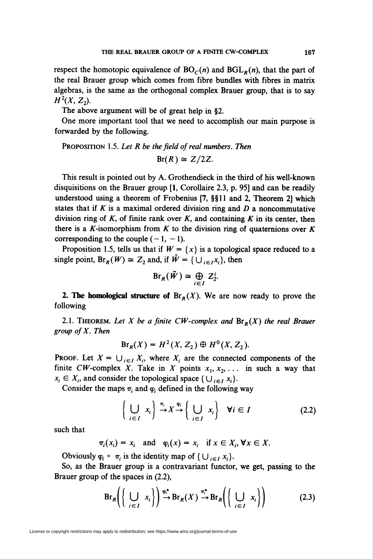respect the homotopic equivalence of  $BO<sub>C</sub>(n)$  and  $BGL<sub>R</sub>(n)$ , that the part of the real Brauer group which comes from fibre bundles with fibres in matrix algebras, is the same as the orthogonal complex Brauer group, that is to say  $H^2(X, Z_2)$ .

The above argument will be of great help in §2.

One more important tool that we need to accomplish our main purpose is forwarded by the following.

PROPOSITION 1.5. Let  $R$  be the field of real numbers. Then

$$
Br(R)\cong Z/2Z.
$$

This result is pointed out by A. Grothendieck in the third of his well-known disquisitions on the Brauer group [1, Corollaire 2.3, p. 95] and can be readily understood using a theorem of Frobenius [7, §§11 and 2, Theorem 2] which states that if  $K$  is a maximal ordered division ring and  $D$  a noncommutative division ring of K, of finite rank over K, and containing K in its center, then there is a K-isomorphism from  $K$  to the division ring of quaternions over  $K$ corresponding to the couple  $(-1, -1)$ .

Proposition 1.5, tells us that if  $W = \{x\}$  is a topological space reduced to a single point,  $\text{Br}_R(W) \cong Z_2$  and, if  $\tilde{W} = \{ \bigcup_{i \in I} x_i \}$ , then

$$
\mathrm{Br}_R(\tilde{W})\cong \bigoplus_{i\in I} Z_2^i.
$$

**2. The homological structure of**  $\text{Br}_R(X)$ **.** We are now ready to prove the following

2.1. THEOREM. Let X be a finite CW-complex and  $\text{Br}_R(X)$  the real Brauer group of X. Then

$$
Br_R(X) = H^2(X, Z_2) \oplus H^0(X, Z_2).
$$

PROOF. Let  $X = \bigcup_{i \in I} X_i$ , where  $X_i$  are the connected components of the finite CW-complex X. Take in X points  $x_1, x_2, \ldots$  in such a way that  $x_i \in X_i$ , and consider the topological space  $\{\bigcup_{i \in I} x_i\}.$ 

Consider the maps  $\pi_i$  and  $\varphi_i$  defined in the following way

$$
\left\{ \bigcup_{i \in I} x_i \right\} \xrightarrow{\pi_i} X \xrightarrow{\varphi_i} \left\{ \bigcup_{i \in I} x_i \right\} \quad \forall i \in I \tag{2.2}
$$

such that

$$
\pi_i(x_i) = x_i
$$
 and  $\varphi_i(x) = x_i$  if  $x \in X_i$ ,  $\forall x \in X$ .

Obviously  $\varphi_i \circ \pi_i$  is the identity map of  $\{\bigcup_{i \in I} x_i\}.$ 

So, as the Brauer group is a contravariant functor, we get, passing to the Brauer group of the spaces in (2.2),

$$
Br_R\bigg(\bigg\{\bigcup_{i\in I} x_i\bigg\}\bigg) \xrightarrow{\varphi_i^*} Br_R(X) \xrightarrow{\pi_i^*} Br_R\bigg(\bigg\{\bigcup_{i\in I} x_i\bigg\}\bigg) \tag{2.3}
$$